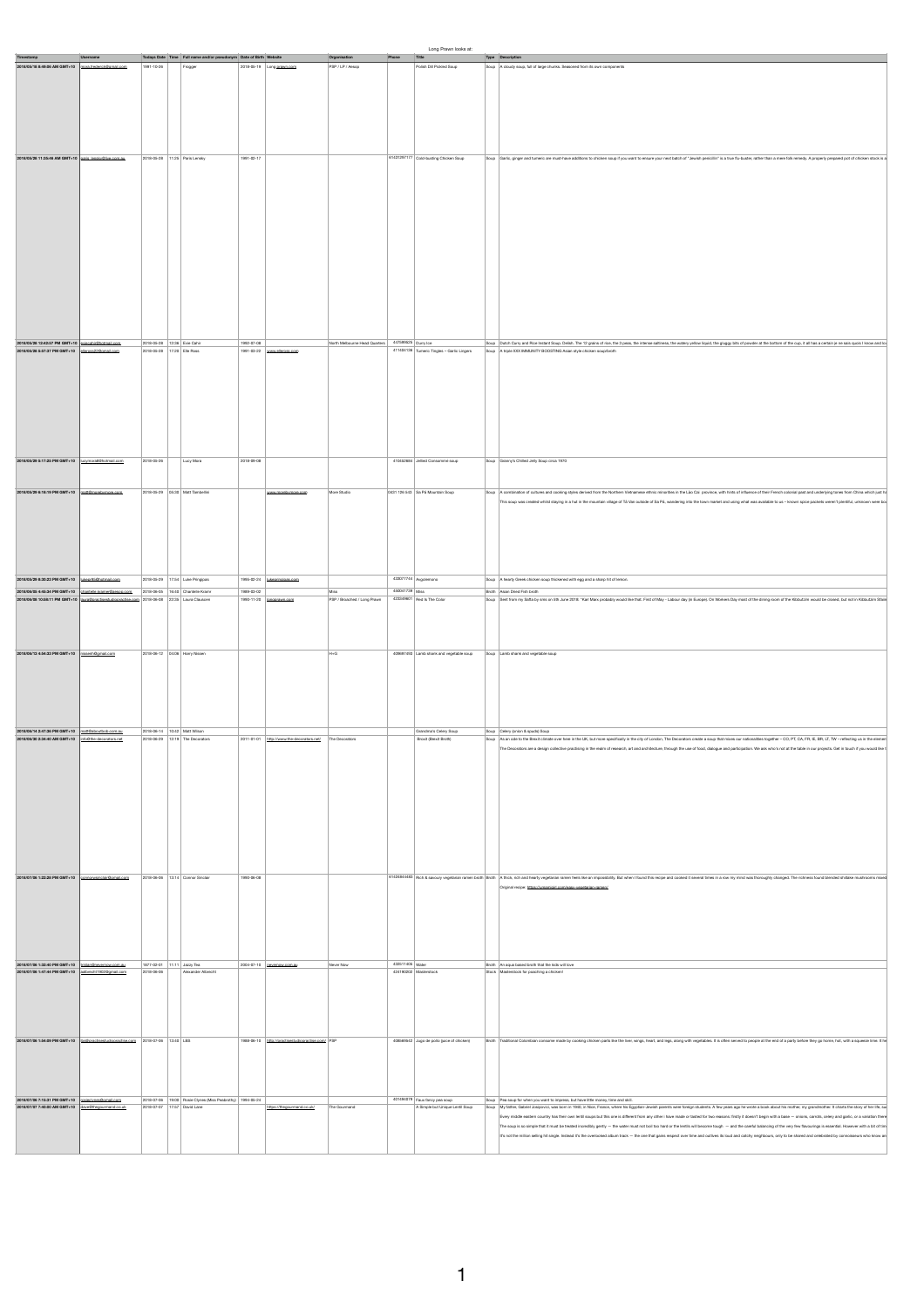|                                                                                                                                                                                      |                                                                                           |            |                                                                              |                                                                 | Organisation                                                                    | Long Prawn looks at:<br>Phone Title                                        |                                                                                                                                                                                                                                                                                                                                                                                                                                                                                                                                                                                                                                                                                                                                                                                                                                                                                                                                      |
|--------------------------------------------------------------------------------------------------------------------------------------------------------------------------------------|-------------------------------------------------------------------------------------------|------------|------------------------------------------------------------------------------|-----------------------------------------------------------------|---------------------------------------------------------------------------------|----------------------------------------------------------------------------|--------------------------------------------------------------------------------------------------------------------------------------------------------------------------------------------------------------------------------------------------------------------------------------------------------------------------------------------------------------------------------------------------------------------------------------------------------------------------------------------------------------------------------------------------------------------------------------------------------------------------------------------------------------------------------------------------------------------------------------------------------------------------------------------------------------------------------------------------------------------------------------------------------------------------------------|
|                                                                                                                                                                                      | Timestamp<br>2018/05/18 8:49:06 AM GMT+10 mora frederick@gmail.com                        | 1991-10-26 | Todays Date Time Full name and/or pseudonym Date of Birth Website<br>Frogger | 2018-05-19 Long prawn.com                                       | PSP / LP / Assop                                                                | Polish Dill Pickled Soup                                                   | Type Description<br>Soup A cloudy soup, full of large chunks. Seasoned from its own components                                                                                                                                                                                                                                                                                                                                                                                                                                                                                                                                                                                                                                                                                                                                                                                                                                       |
|                                                                                                                                                                                      |                                                                                           |            |                                                                              |                                                                 |                                                                                 |                                                                            |                                                                                                                                                                                                                                                                                                                                                                                                                                                                                                                                                                                                                                                                                                                                                                                                                                                                                                                                      |
|                                                                                                                                                                                      |                                                                                           |            |                                                                              |                                                                 |                                                                                 |                                                                            |                                                                                                                                                                                                                                                                                                                                                                                                                                                                                                                                                                                                                                                                                                                                                                                                                                                                                                                                      |
|                                                                                                                                                                                      |                                                                                           |            |                                                                              |                                                                 |                                                                                 |                                                                            |                                                                                                                                                                                                                                                                                                                                                                                                                                                                                                                                                                                                                                                                                                                                                                                                                                                                                                                                      |
|                                                                                                                                                                                      |                                                                                           |            |                                                                              |                                                                 |                                                                                 |                                                                            |                                                                                                                                                                                                                                                                                                                                                                                                                                                                                                                                                                                                                                                                                                                                                                                                                                                                                                                                      |
|                                                                                                                                                                                      |                                                                                           |            |                                                                              |                                                                 |                                                                                 |                                                                            |                                                                                                                                                                                                                                                                                                                                                                                                                                                                                                                                                                                                                                                                                                                                                                                                                                                                                                                                      |
|                                                                                                                                                                                      | 2018/05/28 11:35:46 AM GMT+10 02/2018/09/09/00 0000.24 2018 05:28 11:25 Paris Lensky      |            |                                                                              | 1991-02-17                                                      |                                                                                 |                                                                            | 61431297177 Cold-busting Chicken Soup Saup Caric, ginger and tumeric are must-have additions to chicken soup if you want to ensure your next batch of "Jewish penicilin" is a true to bussler, rather than a mere folk remedy.                                                                                                                                                                                                                                                                                                                                                                                                                                                                                                                                                                                                                                                                                                       |
|                                                                                                                                                                                      |                                                                                           |            |                                                                              |                                                                 |                                                                                 |                                                                            |                                                                                                                                                                                                                                                                                                                                                                                                                                                                                                                                                                                                                                                                                                                                                                                                                                                                                                                                      |
|                                                                                                                                                                                      |                                                                                           |            |                                                                              |                                                                 |                                                                                 |                                                                            |                                                                                                                                                                                                                                                                                                                                                                                                                                                                                                                                                                                                                                                                                                                                                                                                                                                                                                                                      |
|                                                                                                                                                                                      |                                                                                           |            |                                                                              |                                                                 |                                                                                 |                                                                            |                                                                                                                                                                                                                                                                                                                                                                                                                                                                                                                                                                                                                                                                                                                                                                                                                                                                                                                                      |
|                                                                                                                                                                                      |                                                                                           |            |                                                                              |                                                                 |                                                                                 |                                                                            |                                                                                                                                                                                                                                                                                                                                                                                                                                                                                                                                                                                                                                                                                                                                                                                                                                                                                                                                      |
|                                                                                                                                                                                      |                                                                                           |            |                                                                              |                                                                 |                                                                                 |                                                                            |                                                                                                                                                                                                                                                                                                                                                                                                                                                                                                                                                                                                                                                                                                                                                                                                                                                                                                                                      |
|                                                                                                                                                                                      |                                                                                           |            |                                                                              |                                                                 |                                                                                 |                                                                            |                                                                                                                                                                                                                                                                                                                                                                                                                                                                                                                                                                                                                                                                                                                                                                                                                                                                                                                                      |
|                                                                                                                                                                                      |                                                                                           |            |                                                                              |                                                                 |                                                                                 |                                                                            |                                                                                                                                                                                                                                                                                                                                                                                                                                                                                                                                                                                                                                                                                                                                                                                                                                                                                                                                      |
|                                                                                                                                                                                      |                                                                                           |            |                                                                              |                                                                 |                                                                                 |                                                                            |                                                                                                                                                                                                                                                                                                                                                                                                                                                                                                                                                                                                                                                                                                                                                                                                                                                                                                                                      |
|                                                                                                                                                                                      |                                                                                           |            |                                                                              |                                                                 |                                                                                 |                                                                            |                                                                                                                                                                                                                                                                                                                                                                                                                                                                                                                                                                                                                                                                                                                                                                                                                                                                                                                                      |
|                                                                                                                                                                                      |                                                                                           |            |                                                                              |                                                                 |                                                                                 |                                                                            |                                                                                                                                                                                                                                                                                                                                                                                                                                                                                                                                                                                                                                                                                                                                                                                                                                                                                                                                      |
|                                                                                                                                                                                      |                                                                                           |            |                                                                              |                                                                 |                                                                                 |                                                                            |                                                                                                                                                                                                                                                                                                                                                                                                                                                                                                                                                                                                                                                                                                                                                                                                                                                                                                                                      |
| 2018/05/28 12:42:57 PM GMT+10 existential com 2018-05-28 12:36 Evie Cahir                                                                                                            |                                                                                           |            |                                                                              | 1992-07-08                                                      | North Melbourne Head Quarters 447599525 Durry Ice                               |                                                                            | Soup Dutch Curry and Rice Instant Soup. Delish. The 12 grains of rice, the 3 peas, the intense saltiness, the watery yellow liquid, the gluggy bits of powder at the bottom of the cup, it all has a certain je ne sais quois                                                                                                                                                                                                                                                                                                                                                                                                                                                                                                                                                                                                                                                                                                        |
| 2018/05/28 5:57:37 PM GMT+10 dismos22@gmail.com                                                                                                                                      |                                                                                           |            | 2018-05-28 17:20 Elle Ross                                                   | $1991-03-22 \quad \rule{2mm}{0.1mm} \textbf{www. elements.com}$ |                                                                                 |                                                                            | 411404138 Tumeric Tingles - Garlic Lingers Soup A triple XXX IMMUNITY BOOSTING Asian style chicken soup/broth                                                                                                                                                                                                                                                                                                                                                                                                                                                                                                                                                                                                                                                                                                                                                                                                                        |
|                                                                                                                                                                                      |                                                                                           |            |                                                                              |                                                                 |                                                                                 |                                                                            |                                                                                                                                                                                                                                                                                                                                                                                                                                                                                                                                                                                                                                                                                                                                                                                                                                                                                                                                      |
|                                                                                                                                                                                      |                                                                                           |            |                                                                              |                                                                 |                                                                                 |                                                                            |                                                                                                                                                                                                                                                                                                                                                                                                                                                                                                                                                                                                                                                                                                                                                                                                                                                                                                                                      |
|                                                                                                                                                                                      |                                                                                           |            |                                                                              |                                                                 |                                                                                 |                                                                            |                                                                                                                                                                                                                                                                                                                                                                                                                                                                                                                                                                                                                                                                                                                                                                                                                                                                                                                                      |
|                                                                                                                                                                                      |                                                                                           |            |                                                                              |                                                                 |                                                                                 |                                                                            |                                                                                                                                                                                                                                                                                                                                                                                                                                                                                                                                                                                                                                                                                                                                                                                                                                                                                                                                      |
|                                                                                                                                                                                      |                                                                                           |            |                                                                              |                                                                 |                                                                                 |                                                                            |                                                                                                                                                                                                                                                                                                                                                                                                                                                                                                                                                                                                                                                                                                                                                                                                                                                                                                                                      |
|                                                                                                                                                                                      |                                                                                           |            |                                                                              |                                                                 |                                                                                 |                                                                            |                                                                                                                                                                                                                                                                                                                                                                                                                                                                                                                                                                                                                                                                                                                                                                                                                                                                                                                                      |
| 2018/05/29 5:17:25 PM GMT+10   kg/mora@fihotmail.com                                                                                                                                 |                                                                                           |            | 2018-05-26 Lucy Mora                                                         | 2018-09-08                                                      |                                                                                 | 410452684 Jallad Consommé soup                                             | Soup Granny's Chilled Jelly Soup circa 1970                                                                                                                                                                                                                                                                                                                                                                                                                                                                                                                                                                                                                                                                                                                                                                                                                                                                                          |
|                                                                                                                                                                                      |                                                                                           |            |                                                                              |                                                                 |                                                                                 |                                                                            |                                                                                                                                                                                                                                                                                                                                                                                                                                                                                                                                                                                                                                                                                                                                                                                                                                                                                                                                      |
| 2018/05/29 6:18:19 PM GMT+10 att@morebymore.com                                                                                                                                      |                                                                                           |            | 2018-05-29 05:30 Matt Tambellini                                             | www.morebymore.com                                              | More Studio                                                                     | 0431 126 543 Sa Pa Mountain Soup                                           | Soup A combination of cultures and cooking styles derived from the Northern Vietnamese ethnic minorities in the Lão Cal province, with hints of influence of their French colonial past and underlying tones from China which                                                                                                                                                                                                                                                                                                                                                                                                                                                                                                                                                                                                                                                                                                        |
|                                                                                                                                                                                      |                                                                                           |            |                                                                              |                                                                 |                                                                                 |                                                                            | This soup was created whilst staying in a hut in the mountain village of Tå Van outside of Sa På, wandering into the town market and using what was available to us - known spice packets weren't plentiful, unknown were bo                                                                                                                                                                                                                                                                                                                                                                                                                                                                                                                                                                                                                                                                                                         |
|                                                                                                                                                                                      |                                                                                           |            |                                                                              |                                                                 |                                                                                 |                                                                            |                                                                                                                                                                                                                                                                                                                                                                                                                                                                                                                                                                                                                                                                                                                                                                                                                                                                                                                                      |
|                                                                                                                                                                                      |                                                                                           |            |                                                                              |                                                                 |                                                                                 |                                                                            |                                                                                                                                                                                                                                                                                                                                                                                                                                                                                                                                                                                                                                                                                                                                                                                                                                                                                                                                      |
|                                                                                                                                                                                      |                                                                                           |            |                                                                              |                                                                 |                                                                                 |                                                                            |                                                                                                                                                                                                                                                                                                                                                                                                                                                                                                                                                                                                                                                                                                                                                                                                                                                                                                                                      |
|                                                                                                                                                                                      |                                                                                           |            |                                                                              |                                                                 |                                                                                 |                                                                            |                                                                                                                                                                                                                                                                                                                                                                                                                                                                                                                                                                                                                                                                                                                                                                                                                                                                                                                                      |
| 2018/05/29 8:30:23 PM GMT+10                                                                                                                                                         | mos lientodūi                                                                             |            | 2018-05-29 17:54 Luke Pringipas                                              | $1995-02-24$ hikepringipas.com                                  |                                                                                 | 433077744 Avgolemono                                                       | Soup A hearty Greek chicken soup thickened with egg and a sharp hit of lemon.                                                                                                                                                                                                                                                                                                                                                                                                                                                                                                                                                                                                                                                                                                                                                                                                                                                        |
| 2018/06/08 10:58:11 PM GMT+10   bura@practisestudiopractise.com 2018-06-08   22:35   Laura Clauscen                                                                                  | 2018/06/05 4:45:34 PM GMT+10 chantelle imameritaesop.com 2018-06-05 16:40 Chantelle Kramr |            |                                                                              | 1989-03-02<br>1990-11-20   congoraum.com                        | 450041739 Miss<br>Mss<br>PSP / Broached / Long Prawn 423349601 Red is The Color |                                                                            | Broth Asian Dried Fish broth<br>Soup Sant from my Safta by sms on 5th June 2018: "Karl Marx probably would like that. First of May - Labour day (in Europe). On Workers Day most of the dining room of the Kibbutzim would be closed, but not in Kibbutzim Sfa                                                                                                                                                                                                                                                                                                                                                                                                                                                                                                                                                                                                                                                                       |
|                                                                                                                                                                                      |                                                                                           |            |                                                                              |                                                                 |                                                                                 |                                                                            |                                                                                                                                                                                                                                                                                                                                                                                                                                                                                                                                                                                                                                                                                                                                                                                                                                                                                                                                      |
|                                                                                                                                                                                      |                                                                                           |            |                                                                              |                                                                 |                                                                                 |                                                                            |                                                                                                                                                                                                                                                                                                                                                                                                                                                                                                                                                                                                                                                                                                                                                                                                                                                                                                                                      |
|                                                                                                                                                                                      |                                                                                           |            |                                                                              |                                                                 |                                                                                 |                                                                            |                                                                                                                                                                                                                                                                                                                                                                                                                                                                                                                                                                                                                                                                                                                                                                                                                                                                                                                                      |
| 2018/06/13 4:54:33 PM GMT+10 assembligmail.com                                                                                                                                       |                                                                                           |            | 2018-06-12 04:06 Harry Nissen                                                |                                                                 | H+G                                                                             | 409697493 Lamb shank and vegetable soup Soup Lamb shank and vegetable soup |                                                                                                                                                                                                                                                                                                                                                                                                                                                                                                                                                                                                                                                                                                                                                                                                                                                                                                                                      |
|                                                                                                                                                                                      |                                                                                           |            |                                                                              |                                                                 |                                                                                 |                                                                            |                                                                                                                                                                                                                                                                                                                                                                                                                                                                                                                                                                                                                                                                                                                                                                                                                                                                                                                                      |
|                                                                                                                                                                                      |                                                                                           |            |                                                                              |                                                                 |                                                                                 |                                                                            |                                                                                                                                                                                                                                                                                                                                                                                                                                                                                                                                                                                                                                                                                                                                                                                                                                                                                                                                      |
|                                                                                                                                                                                      |                                                                                           |            |                                                                              |                                                                 |                                                                                 |                                                                            |                                                                                                                                                                                                                                                                                                                                                                                                                                                                                                                                                                                                                                                                                                                                                                                                                                                                                                                                      |
|                                                                                                                                                                                      |                                                                                           |            |                                                                              |                                                                 |                                                                                 |                                                                            |                                                                                                                                                                                                                                                                                                                                                                                                                                                                                                                                                                                                                                                                                                                                                                                                                                                                                                                                      |
| 2018/06/14 2:47:36 PM GMT+10 math@ahouthoh.com.au 2018-06-14 10:42 Matt Wilson                                                                                                       |                                                                                           |            |                                                                              |                                                                 |                                                                                 | Grandma's Celery Soup Soup Soup Celery (onion & spuds) Soup                |                                                                                                                                                                                                                                                                                                                                                                                                                                                                                                                                                                                                                                                                                                                                                                                                                                                                                                                                      |
| 2018/06/30 2:34:40 AM GMT+10   info@the-decorators.net                                                                                                                               |                                                                                           |            | 2018-06-29 12:19 The Decorators                                              | 2011-01-01 http://www.<br>ators.net/                            | The Decorators                                                                  | Broxit (Brexit Broth)                                                      | Soup   As an ode to the Breek climate over here in the UK, but more specifically in the city of London, The Decorators create a soup that mixes our nationalities together - CO, PT, CA, FR, IE, BR, LT, TW - reflecting us in                                                                                                                                                                                                                                                                                                                                                                                                                                                                                                                                                                                                                                                                                                       |
|                                                                                                                                                                                      |                                                                                           |            |                                                                              |                                                                 |                                                                                 |                                                                            | The Decorators are a design collective practising in the realm of research, art and architecture, through the use of food, dialogue and participation. We ask who's not at the table in our projects. Get in touch if you woul                                                                                                                                                                                                                                                                                                                                                                                                                                                                                                                                                                                                                                                                                                       |
|                                                                                                                                                                                      |                                                                                           |            |                                                                              |                                                                 |                                                                                 |                                                                            |                                                                                                                                                                                                                                                                                                                                                                                                                                                                                                                                                                                                                                                                                                                                                                                                                                                                                                                                      |
|                                                                                                                                                                                      |                                                                                           |            |                                                                              |                                                                 |                                                                                 |                                                                            |                                                                                                                                                                                                                                                                                                                                                                                                                                                                                                                                                                                                                                                                                                                                                                                                                                                                                                                                      |
|                                                                                                                                                                                      |                                                                                           |            |                                                                              |                                                                 |                                                                                 |                                                                            |                                                                                                                                                                                                                                                                                                                                                                                                                                                                                                                                                                                                                                                                                                                                                                                                                                                                                                                                      |
|                                                                                                                                                                                      |                                                                                           |            |                                                                              |                                                                 |                                                                                 |                                                                            |                                                                                                                                                                                                                                                                                                                                                                                                                                                                                                                                                                                                                                                                                                                                                                                                                                                                                                                                      |
|                                                                                                                                                                                      |                                                                                           |            |                                                                              |                                                                 |                                                                                 |                                                                            |                                                                                                                                                                                                                                                                                                                                                                                                                                                                                                                                                                                                                                                                                                                                                                                                                                                                                                                                      |
|                                                                                                                                                                                      |                                                                                           |            |                                                                              |                                                                 |                                                                                 |                                                                            |                                                                                                                                                                                                                                                                                                                                                                                                                                                                                                                                                                                                                                                                                                                                                                                                                                                                                                                                      |
|                                                                                                                                                                                      |                                                                                           |            |                                                                              |                                                                 |                                                                                 |                                                                            |                                                                                                                                                                                                                                                                                                                                                                                                                                                                                                                                                                                                                                                                                                                                                                                                                                                                                                                                      |
| 2018/07/06 1:22:28 PM GMT+10   connomsinglaintigmail.com   2018-06-06   13:14   Connor Singlair                                                                                      |                                                                                           |            |                                                                              | 1990-06-08                                                      |                                                                                 |                                                                            | 6142484483 Rich & savoury vegetarian ramen broth Broth A thick, rich and hearty vegetarian ramen feels like an impossibility. But when I found this recipe and cooked it several times in a row my mind was thoroughly changed                                                                                                                                                                                                                                                                                                                                                                                                                                                                                                                                                                                                                                                                                                       |
|                                                                                                                                                                                      |                                                                                           |            |                                                                              |                                                                 |                                                                                 |                                                                            | Original recipe: https://umamigirl.com/eesy-vegetarian-ramen/                                                                                                                                                                                                                                                                                                                                                                                                                                                                                                                                                                                                                                                                                                                                                                                                                                                                        |
|                                                                                                                                                                                      |                                                                                           |            |                                                                              |                                                                 |                                                                                 |                                                                            |                                                                                                                                                                                                                                                                                                                                                                                                                                                                                                                                                                                                                                                                                                                                                                                                                                                                                                                                      |
|                                                                                                                                                                                      |                                                                                           |            |                                                                              |                                                                 |                                                                                 |                                                                            |                                                                                                                                                                                                                                                                                                                                                                                                                                                                                                                                                                                                                                                                                                                                                                                                                                                                                                                                      |
|                                                                                                                                                                                      |                                                                                           |            |                                                                              |                                                                 |                                                                                 |                                                                            |                                                                                                                                                                                                                                                                                                                                                                                                                                                                                                                                                                                                                                                                                                                                                                                                                                                                                                                                      |
|                                                                                                                                                                                      |                                                                                           |            |                                                                              |                                                                 |                                                                                 |                                                                            |                                                                                                                                                                                                                                                                                                                                                                                                                                                                                                                                                                                                                                                                                                                                                                                                                                                                                                                                      |
|                                                                                                                                                                                      |                                                                                           |            |                                                                              |                                                                 |                                                                                 |                                                                            |                                                                                                                                                                                                                                                                                                                                                                                                                                                                                                                                                                                                                                                                                                                                                                                                                                                                                                                                      |
|                                                                                                                                                                                      |                                                                                           |            |                                                                              |                                                                 |                                                                                 |                                                                            |                                                                                                                                                                                                                                                                                                                                                                                                                                                                                                                                                                                                                                                                                                                                                                                                                                                                                                                                      |
| 2018/07/06 1:32:40 PM GMT+10   trialan@heaternow.com.au   1877-02-01   11:11   Jazzy Tea<br>2018/07/06 1:47:44 PM GMT+10   althrecht19/228gmail.com   2018-06-06   Alexander Abrecht |                                                                                           |            |                                                                              | 2004-07-10 pevernow.com.au                                      | 432511405 Water<br>Never Now                                                    | 424190202 Masterstock                                                      | Broth An aqua based broth that the kids will love<br>Stock Masterstock for poaching a chicken!                                                                                                                                                                                                                                                                                                                                                                                                                                                                                                                                                                                                                                                                                                                                                                                                                                       |
|                                                                                                                                                                                      |                                                                                           |            |                                                                              |                                                                 |                                                                                 |                                                                            |                                                                                                                                                                                                                                                                                                                                                                                                                                                                                                                                                                                                                                                                                                                                                                                                                                                                                                                                      |
|                                                                                                                                                                                      |                                                                                           |            |                                                                              |                                                                 |                                                                                 |                                                                            |                                                                                                                                                                                                                                                                                                                                                                                                                                                                                                                                                                                                                                                                                                                                                                                                                                                                                                                                      |
|                                                                                                                                                                                      |                                                                                           |            |                                                                              |                                                                 |                                                                                 |                                                                            |                                                                                                                                                                                                                                                                                                                                                                                                                                                                                                                                                                                                                                                                                                                                                                                                                                                                                                                                      |
|                                                                                                                                                                                      |                                                                                           |            |                                                                              |                                                                 |                                                                                 |                                                                            |                                                                                                                                                                                                                                                                                                                                                                                                                                                                                                                                                                                                                                                                                                                                                                                                                                                                                                                                      |
|                                                                                                                                                                                      | 2018/07/06 1:54:09 PM GMT+10   Ex@practisestudiopractise.com   2018-07-06   13:40   LBS   |            |                                                                              | 1988-06-10 http://practisestudiopractise.com/ PSP               |                                                                                 |                                                                            | 408569542 Jugo de pollo (juice of chicken) Broth Traditional Colombian consome made by cooking chicken parts like the liver, wings, heart, and legs, along with vegetables. It is often served to people at the end of a party                                                                                                                                                                                                                                                                                                                                                                                                                                                                                                                                                                                                                                                                                                       |
|                                                                                                                                                                                      |                                                                                           |            |                                                                              |                                                                 |                                                                                 |                                                                            |                                                                                                                                                                                                                                                                                                                                                                                                                                                                                                                                                                                                                                                                                                                                                                                                                                                                                                                                      |
|                                                                                                                                                                                      |                                                                                           |            |                                                                              |                                                                 |                                                                                 |                                                                            |                                                                                                                                                                                                                                                                                                                                                                                                                                                                                                                                                                                                                                                                                                                                                                                                                                                                                                                                      |
|                                                                                                                                                                                      |                                                                                           |            |                                                                              |                                                                 |                                                                                 |                                                                            |                                                                                                                                                                                                                                                                                                                                                                                                                                                                                                                                                                                                                                                                                                                                                                                                                                                                                                                                      |
|                                                                                                                                                                                      | 2018/07/06 7:15:31 PM GMT+10   msisch nes@gmail.com                                       |            | 2018-07-06 19:00 Rosie Clynes (Miss Peabrothy) 1994-05-24                    |                                                                 |                                                                                 | 401494079 Faux fancy pea soup                                              | Soup Pea soup for when you want to impress, but have little money, time and skill.                                                                                                                                                                                                                                                                                                                                                                                                                                                                                                                                                                                                                                                                                                                                                                                                                                                   |
| 2018/07/07 7:40:00 AM GMT+10 daug@thegourmand.co.uk                                                                                                                                  |                                                                                           |            | 2018-07-07 17:57 David Lane                                                  | s://thegourmand.co.uk/                                          | The Gourmand                                                                    |                                                                            |                                                                                                                                                                                                                                                                                                                                                                                                                                                                                                                                                                                                                                                                                                                                                                                                                                                                                                                                      |
|                                                                                                                                                                                      |                                                                                           |            |                                                                              |                                                                 |                                                                                 |                                                                            | A Simple but Unique Lentil Soup Soup Soup My father, Gabriel Josipovici, was born in 1940, in Nice, France, where his Egyptian-Jevish parents were foreign students. A few years ago he wrote a book about his mother, my gran<br>Every middle eastern country has their own lentil soups but this one is different from any other i have made or tasted for two reasons: firstly it doesn't begin with a base - orions, carrots, celery and garlic, or a variat<br>The soup is so simple that it must be treated incredibly gently - the water must not boil too hard or the lentils will become tough - and the careful balancing of the very few flavourings is essential. However with a bit o<br>It's not the million selling hit single. Instead it's the overlooked album track - the one that gains respect over time and outlives its loud and catchy neighbours, only to be shared and celebrated by connoisseurs who know |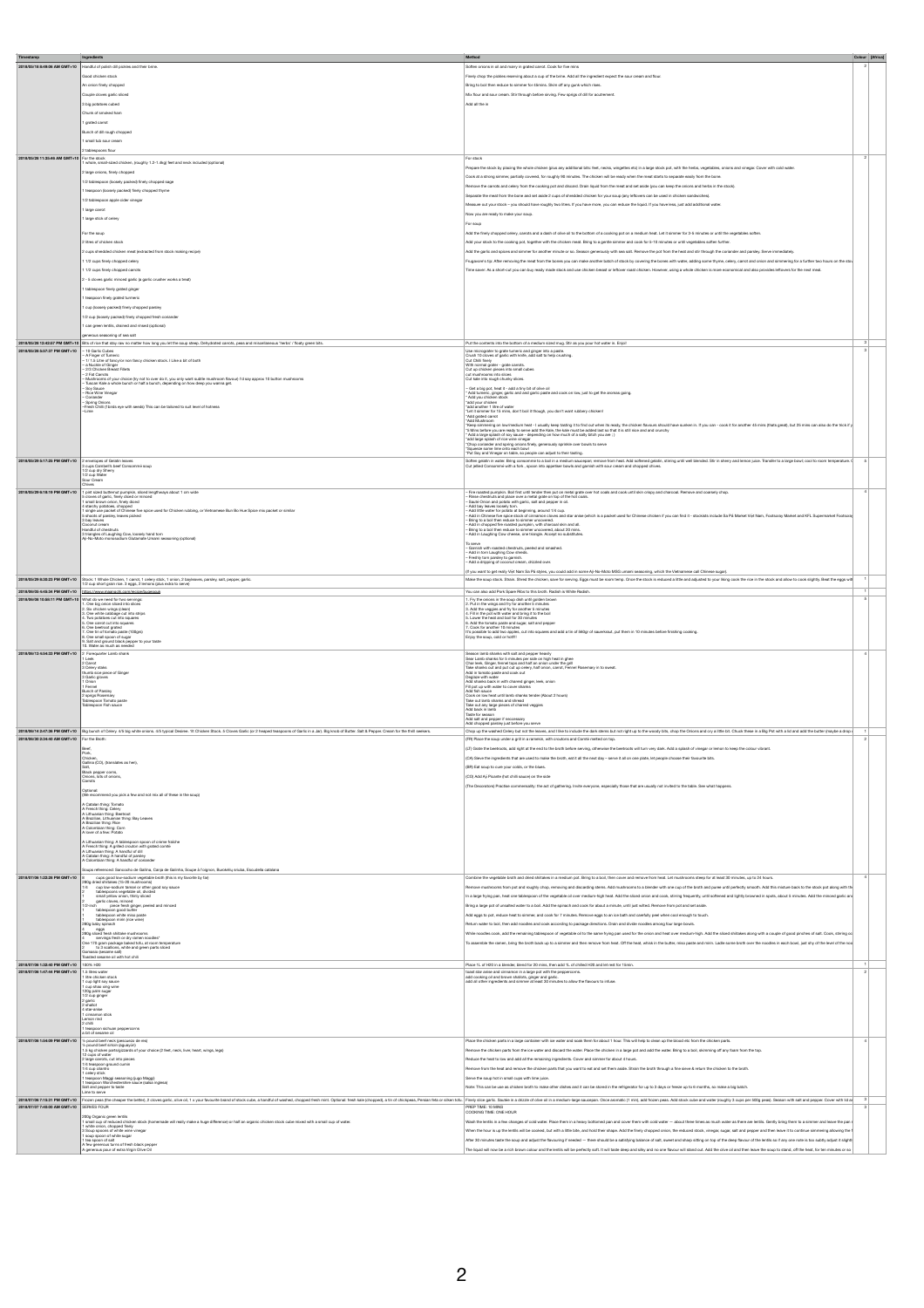| Timestamp                                                                     | Ingredients                                                                                                                                                                                                                                                                                |                                                                                                                                                                                                                                                                                                                                                                                                                                                                 | Method                                                                                                                                                                                                                                                                                                             |
|-------------------------------------------------------------------------------|--------------------------------------------------------------------------------------------------------------------------------------------------------------------------------------------------------------------------------------------------------------------------------------------|-----------------------------------------------------------------------------------------------------------------------------------------------------------------------------------------------------------------------------------------------------------------------------------------------------------------------------------------------------------------------------------------------------------------------------------------------------------------|--------------------------------------------------------------------------------------------------------------------------------------------------------------------------------------------------------------------------------------------------------------------------------------------------------------------|
|                                                                               | 2018/05/18 8:49:06 AM GMT+10 Handful of polish dill pickles and their brine.                                                                                                                                                                                                               |                                                                                                                                                                                                                                                                                                                                                                                                                                                                 | Soften onions in oil and many in grated carrot. Cook for five mins                                                                                                                                                                                                                                                 |
|                                                                               | Good chicken stock                                                                                                                                                                                                                                                                         |                                                                                                                                                                                                                                                                                                                                                                                                                                                                 | Finely choo the pickles reserving about a cup of the brine. Add all the incredient expect the sour cream and flour.                                                                                                                                                                                                |
|                                                                               | An onion finely chopped<br>Couple cloves garlic sliced                                                                                                                                                                                                                                     |                                                                                                                                                                                                                                                                                                                                                                                                                                                                 | Bring to boil then reduce to simmer for 45mins. Skim off any gunk which rises.<br>Mix flour and sour cream. Stir through before sirving. Few sprigs of dill for acutrement.                                                                                                                                        |
|                                                                               | 3 big potatoes cubed                                                                                                                                                                                                                                                                       |                                                                                                                                                                                                                                                                                                                                                                                                                                                                 | Add all the in                                                                                                                                                                                                                                                                                                     |
|                                                                               | Chunk of smoked ham                                                                                                                                                                                                                                                                        |                                                                                                                                                                                                                                                                                                                                                                                                                                                                 |                                                                                                                                                                                                                                                                                                                    |
|                                                                               | 1 grated carrot<br>Bunch of dill rough chopped                                                                                                                                                                                                                                             |                                                                                                                                                                                                                                                                                                                                                                                                                                                                 |                                                                                                                                                                                                                                                                                                                    |
|                                                                               | 1 small tub sour cream                                                                                                                                                                                                                                                                     |                                                                                                                                                                                                                                                                                                                                                                                                                                                                 |                                                                                                                                                                                                                                                                                                                    |
|                                                                               | ablespoons flour<br>2018/05/28 11:35:46 AM GMT+10 For the stock 1 whole, small-sized chicken, (roughly 1.2-1.4kg) feet and neck included (optional)                                                                                                                                        | For stock                                                                                                                                                                                                                                                                                                                                                                                                                                                       |                                                                                                                                                                                                                                                                                                                    |
|                                                                               | 2 large onions, finely chopped                                                                                                                                                                                                                                                             |                                                                                                                                                                                                                                                                                                                                                                                                                                                                 | Prepare the stock by placing the whole chicken (plus any additional bits: feet, necks, wingettes etc) in a large stock pot, with the herbs, vegetables, onions and vinegar. Cover with odd water.                                                                                                                  |
|                                                                               | 1/2 tablespoon (loosely packed) finely chopped sage                                                                                                                                                                                                                                        |                                                                                                                                                                                                                                                                                                                                                                                                                                                                 | Cook at a strong simmer, partially covered, for roughly 90 minutes. The chicken will be ready when the meat starts to separate easily from the bone.<br>Remove the carrots and celery from the cooking pot and discard. Drain liquid from the meat and set aside (you can keep the onions and herbs in the stock). |
|                                                                               | teaspoon (loosely packed) finely chopped thyme<br>1/2 tablespoon apple cider vinega                                                                                                                                                                                                        | Separate the meat from the bone and set aside 2 cups of shredded chicken for your soup (any leftovers can be used in chicken sandwiches).                                                                                                                                                                                                                                                                                                                       |                                                                                                                                                                                                                                                                                                                    |
|                                                                               | large carrot                                                                                                                                                                                                                                                                               | Measure out your stock - you should have roughly two litres. If you have more, you can reduce the liquid. If you have less, just add additional water<br>Now you are ready to make your soup.                                                                                                                                                                                                                                                                   |                                                                                                                                                                                                                                                                                                                    |
|                                                                               | 1 large stick of celery                                                                                                                                                                                                                                                                    | For soup                                                                                                                                                                                                                                                                                                                                                                                                                                                        |                                                                                                                                                                                                                                                                                                                    |
|                                                                               | or the soup                                                                                                                                                                                                                                                                                | Add the finely chopped celery, carrots and a dash of olive oil to the bottom of a cooking pot on a medium heat. Let it simmer for 3-5 minutes or until the vegetables soften.                                                                                                                                                                                                                                                                                   |                                                                                                                                                                                                                                                                                                                    |
|                                                                               | litres of chicken stock<br>cups shredded chicken meat (extracted from stock making recipe)                                                                                                                                                                                                 | Add your stock to the cooking pot, together with the chicken meat. Bring to a gentle simmer and cook for 5-10 minutes or until vegetables soften further.<br>Add the garlic and spices and simmer for another minute or so. Season generously with sea salt. Remove the pot from the heat and stir through the coriander and parsley. Serve immediately.                                                                                                        |                                                                                                                                                                                                                                                                                                                    |
|                                                                               | 11/2 cups finely chopped celery                                                                                                                                                                                                                                                            | rugavore's tip: After removing the meat from the bones you can make another batch of stock by covering the bones with water, adding some thyme, celery, carrot and onlon and simmering for a further two hours on the sto-                                                                                                                                                                                                                                      |                                                                                                                                                                                                                                                                                                                    |
|                                                                               | 11/2 cups finely chopped carrots<br>2 - 5 cloves garlic minced garlic (a garlic crusher works a treat)                                                                                                                                                                                     | Time saver. As a short-out you can buy ready made stock and use chicken breast or leftover roast chicken. However, using a whole chicken is more economical and also provides leftovers for the next meal.                                                                                                                                                                                                                                                      |                                                                                                                                                                                                                                                                                                                    |
|                                                                               | 1 tablespoon finely grated ginger                                                                                                                                                                                                                                                          |                                                                                                                                                                                                                                                                                                                                                                                                                                                                 |                                                                                                                                                                                                                                                                                                                    |
|                                                                               | teaspoon finely grated turmeric<br>1 cup (loosely packed) finely chopped parsley                                                                                                                                                                                                           |                                                                                                                                                                                                                                                                                                                                                                                                                                                                 |                                                                                                                                                                                                                                                                                                                    |
|                                                                               | 1/2 cup (loosely packed) finely chopped fresh coriander                                                                                                                                                                                                                                    |                                                                                                                                                                                                                                                                                                                                                                                                                                                                 |                                                                                                                                                                                                                                                                                                                    |
|                                                                               | 1 can green lentils, drained and rinsed (optional)                                                                                                                                                                                                                                         |                                                                                                                                                                                                                                                                                                                                                                                                                                                                 |                                                                                                                                                                                                                                                                                                                    |
|                                                                               | fise sea to gninozee auoreneg<br>2018/05/28 12:42:57 PM GMT+10 Bits of rice that stay raw no matter how long you let the soup steep. Dehydrated carrots, peas and miscellaneous "herbs" / floaty green bits.                                                                               | Put the contents into the bottom of a medium sized mug. Stir as you pour hot water in. Enjoil                                                                                                                                                                                                                                                                                                                                                                   |                                                                                                                                                                                                                                                                                                                    |
| 2018/05/28 5:57:37 PM GMT+10 - 10 Garlic Cubes                                | A Finger of Tumer                                                                                                                                                                                                                                                                          | Use micrografer to grate turneric and ginger into a paste.<br>Crush 10 cloves of gartic with knife, add salt to help crushing.                                                                                                                                                                                                                                                                                                                                  |                                                                                                                                                                                                                                                                                                                    |
|                                                                               | 1/ 1.5 Litre of fancy/or non fancy chicken stock. I Like a bit of both<br>- a Nuckle of Ginger<br>- 2/3 Chicken Breast Filets                                                                                                                                                              | Cut Chilli finely<br>With normal grater - grate carrols.<br>Cut up chicken pieces into small cubes<br>cut mushrooms into slices                                                                                                                                                                                                                                                                                                                                 |                                                                                                                                                                                                                                                                                                                    |
|                                                                               | = 2/3 Critician Lineary - sense<br>= 2 Fat Canots<br>= Mushrooms of your choice (by not to over do it, you only want subtle mushroom flavour) I'd say approx 10 button mushrooms                                                                                                           | Cut kale into rough chunky slices.                                                                                                                                                                                                                                                                                                                                                                                                                              |                                                                                                                                                                                                                                                                                                                    |
|                                                                               | - Tuscan Kale a whole bunch or half a bunch, depending on how deep you wanna get.<br>- Soy Sauce<br>- Rice Wine Vinegar                                                                                                                                                                    | - Get a big pot, heat it - add a tiny bit of give oil                                                                                                                                                                                                                                                                                                                                                                                                           |                                                                                                                                                                                                                                                                                                                    |
|                                                                               | Coriander                                                                                                                                                                                                                                                                                  | - Sell a log pot, heat is - aon a tiny bot of owe oil<br>- Add tument, ginge, gaitle and and gartic paste and cook on low, just to get the arcmas going.<br>- Add your chicken stock<br>- add prot chicken<br>- Sell and the of valler<br>- L                                                                                                                                                                                                                   |                                                                                                                                                                                                                                                                                                                    |
|                                                                               | resh Chilli (thirds eye with seeds) This can be tailored to suit level of hotness                                                                                                                                                                                                          | "Add grated carrot<br>"Add Mushroom                                                                                                                                                                                                                                                                                                                                                                                                                             |                                                                                                                                                                                                                                                                                                                    |
|                                                                               |                                                                                                                                                                                                                                                                                            |                                                                                                                                                                                                                                                                                                                                                                                                                                                                 |                                                                                                                                                                                                                                                                                                                    |
|                                                                               |                                                                                                                                                                                                                                                                                            | ് 266 Mahroon on termoden has "I sample are to the other hands" the other mount shorthers action it. If you can cost it to another 5 min phails great, but 25 min can also do be trock y<br>" Mini taple you are made to see tha                                                                                                                                                                                                                                |                                                                                                                                                                                                                                                                                                                    |
|                                                                               |                                                                                                                                                                                                                                                                                            | Squeeze some lime onto each bow<br>"Put Soy and Vinegar on table, so people can adjust to their tasting.                                                                                                                                                                                                                                                                                                                                                        |                                                                                                                                                                                                                                                                                                                    |
| 2018/05/29 5:17:25 PM GMT+10 2 envelopes of Gelatin leaves                    | 3 cups Cambell's beef Consommé soup<br>1/2 cup dry Sherry<br>1/2 cup Water<br>2xx Cream                                                                                                                                                                                                    | Soften gelatin in water. Bring consommé to a boil in a medium saucepar; remove from heat. Add softened gelatin, stirring until well blended. Sir in sherry and lemon juice. Transfer to a large bowl; cool to noom temperature                                                                                                                                                                                                                                  |                                                                                                                                                                                                                                                                                                                    |
|                                                                               |                                                                                                                                                                                                                                                                                            |                                                                                                                                                                                                                                                                                                                                                                                                                                                                 |                                                                                                                                                                                                                                                                                                                    |
|                                                                               | 2018/05/29 6:18:19 PM GMT+10 1 pint sized butternut pumpkin, sliced lengthways about 1 cm wide                                                                                                                                                                                             | - Fire roasted pumpkin. Boil first until tender then put on metal grate over hot coals and cook until skin orispy and charcoal. Remove and coarsely chop.                                                                                                                                                                                                                                                                                                       |                                                                                                                                                                                                                                                                                                                    |
|                                                                               | 5 cloves of gartic, finely diced or minced<br>1 small brown onion, finely diced<br>4 starchy potatoes, chopped                                                                                                                                                                             | - Rinse chestnuts and place over a metal grate on top of the hot coals.<br>- Sauté Onion and potato with garlic, salt and pepper in oil.                                                                                                                                                                                                                                                                                                                        |                                                                                                                                                                                                                                                                                                                    |
|                                                                               | 1 single use packet of Chinese five spice used for Chicken rubbing, or Vietnamese Bun Bo Hue Spice mix packet or similar 5 shoots of parties (states)<br>5 shoots of parties/ leaves picked<br>3 bay waves                                                                                 | - Salik Office exposure one gents, an<br>- Add in Sheek to pay a state of dramina choose and star arise (which is a parket used for Ohinea chicker I you can find 1 - stockish include Sn Pit Market Warn, Footsony Market and IF                                                                                                                                                                                                                               |                                                                                                                                                                                                                                                                                                                    |
|                                                                               | Coconut cream<br>Handful of chestnuts<br>standard university of Laughing Cow, locality hand torn<br>Aji-No-Moto monosodium Glutamate Umami seasoning (optional)                                                                                                                            | - Add in Laughing Cow chease, one triangle. Accept no substitutes.                                                                                                                                                                                                                                                                                                                                                                                              |                                                                                                                                                                                                                                                                                                                    |
|                                                                               |                                                                                                                                                                                                                                                                                            |                                                                                                                                                                                                                                                                                                                                                                                                                                                                 |                                                                                                                                                                                                                                                                                                                    |
|                                                                               |                                                                                                                                                                                                                                                                                            | To serve<br>- Garrish with roasted chestruts, peeled and smashed.<br>- Add in tom Laughing Cow shreds.<br>- Freshly tom paraley to gamish.<br>- Add a dripping of coconut cream, drizzled over.                                                                                                                                                                                                                                                                 |                                                                                                                                                                                                                                                                                                                    |
|                                                                               |                                                                                                                                                                                                                                                                                            | (If you want to get really Wilt Nam Sa På styles, you could add in some Aji-No-Moto MSG umami seasoning, which the Vietnamese call Chinese sugar).                                                                                                                                                                                                                                                                                                              |                                                                                                                                                                                                                                                                                                                    |
|                                                                               | 2018/05/29 8:30:23 PM GMT+10 Stock: 1 Whole Chicken, 1 carrot, 1 celery stick, 1 onion, 2 bayleaves, parsley, salt, pepper, garlic.<br>2 cup short grain rice. 3 eggs, 2 lemons (plus extra to serve<br>2018/06/05 4:45:34 PM GMT+10 2mps://www.maangchi.com/recipa/bugeoguk               | Make the soup stock. Strain. Shred the chicken, save for serving. Eggs must be room temp. Once the stock is reduced a little and adjusted to your liking cook the rice in the stock and allow to cook slightly. Beat the eggs<br>You can also add Pork Spare Ribs to this broth. Radish is White Radish.                                                                                                                                                        |                                                                                                                                                                                                                                                                                                                    |
| 2018/06/08 10:58:11 PM GMT+10 What do we need for two servings:               |                                                                                                                                                                                                                                                                                            | 1. Fry the onions in the soup dish until golden brown                                                                                                                                                                                                                                                                                                                                                                                                           |                                                                                                                                                                                                                                                                                                                    |
|                                                                               |                                                                                                                                                                                                                                                                                            |                                                                                                                                                                                                                                                                                                                                                                                                                                                                 |                                                                                                                                                                                                                                                                                                                    |
|                                                                               |                                                                                                                                                                                                                                                                                            | 2. Fly the two-states and by for another 5 minutes<br>2. Put in the wings and by for another 5 minutes<br>3. Add the verges and by for another 5 minutes<br>4. Fill in the post with water and bring it to the boll<br>5. Lower the heat a                                                                                                                                                                                                                      |                                                                                                                                                                                                                                                                                                                    |
|                                                                               | First the big onion allocal left structures<br>2. Six chicken wires (cleare)<br>2. Che white cableage cut into strips<br>4. Two polations cut into squares<br>4. Two polations cut into squares<br>6. One carred cut into squares<br>6. Ch<br>9. Salt and ground black pepper to your tast | 's possible to add two apples, cut into squares and add a tin of 560gr of sauerkraut, put them in 10 minutes before finishing cooking.<br>Enjoy the soup, cold or hot!!!                                                                                                                                                                                                                                                                                        |                                                                                                                                                                                                                                                                                                                    |
| 2018/06/13 4:54:33 PM GMT+10 2 Forequarter Lamb shank                         | . Water as much as needed                                                                                                                                                                                                                                                                  | Season lamb shanks with self and nenner heavily                                                                                                                                                                                                                                                                                                                                                                                                                 |                                                                                                                                                                                                                                                                                                                    |
|                                                                               | 3 Celery staks                                                                                                                                                                                                                                                                             | Search announce were also and proposed in the Share Constant in the Share Lamb shares for 5 minutes per side on high heat in ghee<br>The leads, Gingar, fennal tops and half an onion under the grill<br>Take shares out and put out                                                                                                                                                                                                                            |                                                                                                                                                                                                                                                                                                                    |
|                                                                               | Sumery state<br>Trumb sice piece of Ginger<br>3 Garlic gloves<br>1 Dnion<br>1 Fennel                                                                                                                                                                                                       | Deglaze with water<br>Add shanks back in with charred ginger, leek, onion                                                                                                                                                                                                                                                                                                                                                                                       |                                                                                                                                                                                                                                                                                                                    |
|                                                                               | Bunch of Parsley<br>2 sprigs Rosemary<br>Tablespoon Tomato paste                                                                                                                                                                                                                           | Fill pot up with water to cover sharif<br>Add fish sauce<br>Cook on low heat until lamb shanks tender (About 2 hours)                                                                                                                                                                                                                                                                                                                                           |                                                                                                                                                                                                                                                                                                                    |
|                                                                               | Tablespoon Fish sauce                                                                                                                                                                                                                                                                      | Take out lamb sharks and shread<br>Take out any large pieces of charred veggies<br>Add back in lamb                                                                                                                                                                                                                                                                                                                                                             |                                                                                                                                                                                                                                                                                                                    |
|                                                                               |                                                                                                                                                                                                                                                                                            | Taste for season<br>Add salt and pepper if necoess                                                                                                                                                                                                                                                                                                                                                                                                              |                                                                                                                                                                                                                                                                                                                    |
|                                                                               |                                                                                                                                                                                                                                                                                            | ped parsley just before you serve                                                                                                                                                                                                                                                                                                                                                                                                                               |                                                                                                                                                                                                                                                                                                                    |
| 2018/06/30 2:34:40 AM GMT+10 For the Broth:                                   | 2018/06/14 2:47:36 PM GMT+10 Big bunch of Calary. 4/5 big while onions. 4/5 typical Desires. 18 Chicken Stock. 5 Cloves Garlic (or 2 heaped teaspoons of Garlic in a Jar). Big knob of Butter. Salt & Pepper. Cream for the th                                                             | Chop up the washed Celery but not the leaves, and I like to include the dark stems but not right up to the woody bits, chop the Onions and cry a little bit. Chuck these in a Big Pot with a lid and add the butter (maybe a d<br>(FR) Place the soup under a grill in a ramekin, with croutons and Comté melted on top.                                                                                                                                        |                                                                                                                                                                                                                                                                                                                    |
|                                                                               |                                                                                                                                                                                                                                                                                            | (LT) Grate the beetroots, add right at the end to the broth before serving, otherwise the beetroots will turn very dark. Add a splash of vinegar or lemon to keep the colour vibrant.                                                                                                                                                                                                                                                                           |                                                                                                                                                                                                                                                                                                                    |
|                                                                               | Chicken,<br>Gallina (CO), (translates as hen),                                                                                                                                                                                                                                             | (CA) Sieve the ingredients that are used to make the broth, eat it all the next day - serve it all on one plate, let people choose their favourite bits.<br>(BR) Eat soup to cure your colds, or the blues.                                                                                                                                                                                                                                                     |                                                                                                                                                                                                                                                                                                                    |
|                                                                               | Black pepper coms,<br>Onions, lots of onions,<br>Carrots                                                                                                                                                                                                                                   | (CO) Add Aji Picante (hot chilli sauce) on the side                                                                                                                                                                                                                                                                                                                                                                                                             |                                                                                                                                                                                                                                                                                                                    |
|                                                                               | Optional:<br>(We recommend you pick a few and not mix all of these in the soup)                                                                                                                                                                                                            | (The Decorators) Practise commensaity: the act of gathering. Invite everyone, especially those that are usually not invited to the table. See what happens.                                                                                                                                                                                                                                                                                                     |                                                                                                                                                                                                                                                                                                                    |
|                                                                               | A Catalan thing: Tomato                                                                                                                                                                                                                                                                    |                                                                                                                                                                                                                                                                                                                                                                                                                                                                 |                                                                                                                                                                                                                                                                                                                    |
|                                                                               | A French thing: Celary<br>A Lithuarian thing: Beatroot<br>A Brazilian, Lithuarian thing: Bay Leaves<br>A Brazilian, tirtuarian thing: Bay Leaves<br>A Colombian thing: Corn<br>A Iover of a few: Potato                                                                                    |                                                                                                                                                                                                                                                                                                                                                                                                                                                                 |                                                                                                                                                                                                                                                                                                                    |
|                                                                               |                                                                                                                                                                                                                                                                                            |                                                                                                                                                                                                                                                                                                                                                                                                                                                                 |                                                                                                                                                                                                                                                                                                                    |
|                                                                               | A Lithuanian thing: A tablespoon spoon of crème fraiche                                                                                                                                                                                                                                    |                                                                                                                                                                                                                                                                                                                                                                                                                                                                 |                                                                                                                                                                                                                                                                                                                    |
|                                                                               | A French thing: A grilled crouton with grated comté<br>A Lithuanian thing: A handful of dill<br>A Catalan thing: A handful of paralay<br>A Colombian thing: A handful of coriander                                                                                                         |                                                                                                                                                                                                                                                                                                                                                                                                                                                                 |                                                                                                                                                                                                                                                                                                                    |
|                                                                               | loups referenced: Sancocho de Gallina, Canja de Galinha, Soupe à l'oignon, Burokélių sriuba, Escudella catalana                                                                                                                                                                            |                                                                                                                                                                                                                                                                                                                                                                                                                                                                 |                                                                                                                                                                                                                                                                                                                    |
| 2018/07/06 1:22:28 PM GMT+10 8                                                | cups good low-sodium vegetable broth (this is my favorite by far)<br>280g dried shiltakes (15-20 mushrooms                                                                                                                                                                                 | Combine the vegetable broth and dried shiltakes in a medium pot. Bring to a boil, then cover and remove from heat. Let mushrooms steep for at least 30 minutes, up to 24 hours.                                                                                                                                                                                                                                                                                 |                                                                                                                                                                                                                                                                                                                    |
|                                                                               |                                                                                                                                                                                                                                                                                            | Remove mushrooms from pot and roughly chop, removing and discarding stems. Add mushrooms to a blender with one cup of the broth and puree until perfectly smooth. Add this mixture back to the stock pot along with the                                                                                                                                                                                                                                         |                                                                                                                                                                                                                                                                                                                    |
|                                                                               | 200 grains an initiate (15-20 munchorne)<br>14 $\sim$ 0.0 for excellent bank of contemporary and the specifically of the distribution of the specifical<br>2 grain (closes, millions)<br>17-and paint (closes from the plane)<br>17-and                                                    | In a large frying par, heat one tablespoon of the vegetable oil over medium-high heat. Add the sliced onion and cook, stirring frequently, until softened and lightly browned in soots, about 5 minutes. Add the minoed garlic<br>Bring a large pot of unsalted water to a boil. Add the spinach and cook for about a minute, until just wilted. Remove from pot and set aside.                                                                                 |                                                                                                                                                                                                                                                                                                                    |
|                                                                               |                                                                                                                                                                                                                                                                                            | Add eggs to pot, reduce heat to simmer, and cook for 7 minutes. Remove eggs to an ice bath and carefully peel when cool enough to touch                                                                                                                                                                                                                                                                                                                         |                                                                                                                                                                                                                                                                                                                    |
|                                                                               |                                                                                                                                                                                                                                                                                            | Return water to boil, then add noodles and cook according to package directions. Drain and divide noodles among four large bowls.<br>While noodles cook, add the remaining tablescoon of woetable oil to the same frving pan used for the onion and heat over medium-high. Add the sliced shiltakes along with a couple of good pinches of salt. Cook, stiming od                                                                                               |                                                                                                                                                                                                                                                                                                                    |
|                                                                               | 28Ug since There are unaversity ranks in the same of the same of the same of the Constant Constant Constant Constant Constant Constant Constant Constant Constant Constant Constant Constant Constant Constant Constant Consta                                                             | To assemble the ramen, bring the broth back up to a simmer and then remove from heat. Off the heat, whick in the butter, miso paste and mirin. Ladle some broth over the noodles in each bowl, just shy of the level of the ro                                                                                                                                                                                                                                  |                                                                                                                                                                                                                                                                                                                    |
|                                                                               | io (sesame salt<br>aifa fort ritiw lio smasse bateso                                                                                                                                                                                                                                       |                                                                                                                                                                                                                                                                                                                                                                                                                                                                 |                                                                                                                                                                                                                                                                                                                    |
| 2018/07/06 1:32:40 PM GMT+10<br>2018/07/06 1:47:44 PM GMT+10 1.5 litres water | 100% H20                                                                                                                                                                                                                                                                                   | Place 1L of H20 in a blender, blend for 20 mins, then add 1L of chilled H20 and let rest for 15min.                                                                                                                                                                                                                                                                                                                                                             |                                                                                                                                                                                                                                                                                                                    |
|                                                                               | 1 litre chicken stock                                                                                                                                                                                                                                                                      | toast star anise and cinnamon in a large pot with the peppercorns.<br>add cooking oil and brown shallots, ginger and garlic.<br>add all other ingredients and simmer at least 30 minutes to allow the flavours to infuse.                                                                                                                                                                                                                                       |                                                                                                                                                                                                                                                                                                                    |
|                                                                               | $\begin{array}{c} 1 \text{ cup light soy sauce} \\ 1 \text{ cup shao xing wine} \\ 120 \text{ gain sugar} \end{array}$                                                                                                                                                                     |                                                                                                                                                                                                                                                                                                                                                                                                                                                                 |                                                                                                                                                                                                                                                                                                                    |
|                                                                               | 1/2 cup ginger<br>2 garlie<br>2 shallot<br>4 star-anise                                                                                                                                                                                                                                    |                                                                                                                                                                                                                                                                                                                                                                                                                                                                 |                                                                                                                                                                                                                                                                                                                    |
|                                                                               | 1 cinnamon stick<br>Lamon rind<br>2 chilli                                                                                                                                                                                                                                                 |                                                                                                                                                                                                                                                                                                                                                                                                                                                                 |                                                                                                                                                                                                                                                                                                                    |
|                                                                               | 1 teaspoon sichuan peppercorns<br>a bit of sesame oil                                                                                                                                                                                                                                      |                                                                                                                                                                                                                                                                                                                                                                                                                                                                 |                                                                                                                                                                                                                                                                                                                    |
|                                                                               | 2018/07/06 1:54:09 PM GMT+10 > pound beat neck (pescuezo de res)                                                                                                                                                                                                                           | Place the chicken parts in a large container with ice water and soak them for about 1 hour. This will help to clean up the blood etc from the chicken parts.<br>Remove the chicken parts from the ice water and discard the water. Place the chicken in a large pot and add the water. Bring to a boil, skimming off any foam from the top.                                                                                                                     |                                                                                                                                                                                                                                                                                                                    |
|                                                                               | is panel basis reduce (secured) on<br>the panel basis of the panel of the state of the state in the panel of<br>the state of weak the lighting the state of the state. In the panel<br>of the state of weak the panel of the panel of                                                      | Reduce the heat to low and add all the remaining ingredients. Cover and simmer for about 4 hours.                                                                                                                                                                                                                                                                                                                                                               |                                                                                                                                                                                                                                                                                                                    |
|                                                                               |                                                                                                                                                                                                                                                                                            | Remove from the heat and remove the chicken parts that you want to eat and set them aside. Strain the broth through a fine sieve & return the chicken to the broth.                                                                                                                                                                                                                                                                                             |                                                                                                                                                                                                                                                                                                                    |
|                                                                               | Salt and pepper to taste                                                                                                                                                                                                                                                                   | Serve the soup hot in small cups with lime juice.<br>Note: This can be use as chicken broth to make other dishes and it can be stored in the rehigerator for up to 3 days or freeze up to 6 months, so make a big batch.                                                                                                                                                                                                                                        |                                                                                                                                                                                                                                                                                                                    |
|                                                                               |                                                                                                                                                                                                                                                                                            | 2018/07/06 7:5531 PM OMT+10 Frozen peas the cheaper the better, 2 cloves garic, clive of 1. x your favorithe breat of stock cuba, a handful of washed, chopped freat mint. Optional: feebite (scheen, Paralan test and chickpe                                                                                                                                                                                                                                  |                                                                                                                                                                                                                                                                                                                    |
| 2018/07/07 7:40:00 AM GMT+10 SERVES FOUR                                      |                                                                                                                                                                                                                                                                                            | PREP TIME: 10 MINS<br>COOKING TIME: ONE HOUR                                                                                                                                                                                                                                                                                                                                                                                                                    |                                                                                                                                                                                                                                                                                                                    |
|                                                                               | 200g Organic green lentils<br>1 small cup of reduced chicken stock (homemade will really make a huge difference) or half an organic chicken stock cube mixed with a small cup of water.<br>1 white onion, chopped finely                                                                   | Wash the lentils in a few changes of cold water. Place them in a heavy bottomed pan and cover them with cold water - about three times as much water as there are lentils. Gently bring them to a simmer and leave the pan i                                                                                                                                                                                                                                    |                                                                                                                                                                                                                                                                                                                    |
|                                                                               | 3 Soup spoons of white wine vinegar<br>1 soup spoon of white sugar                                                                                                                                                                                                                         | When the hour is up the lentils will be cooked, but with a little bite, and hold their shape. Add the finely chopped onion, the reduced stock, vinegar, sugar, salt and pepper and then leave it to continue simmering allowin<br>After 30 minutes taste the soup and adjust the flavouring if needed - there should be a satisfying balance of salt, sweet and sharp sitting on top of the deep flavour of the lentils so if any one note is too subtly adjust |                                                                                                                                                                                                                                                                                                                    |
|                                                                               | 1 tea spoon of salt<br>A few generous turns of fresh black pepper<br>A generous pour of extra Virgin Olive Oil                                                                                                                                                                             | The liquid will now be a rich brown colour and the lentis will be perfectly soft. It will taste deep and silky and no one flavour will stand out. Add the olive oil and then leave the soup to stand, off the heat, for ten mi                                                                                                                                                                                                                                  |                                                                                                                                                                                                                                                                                                                    |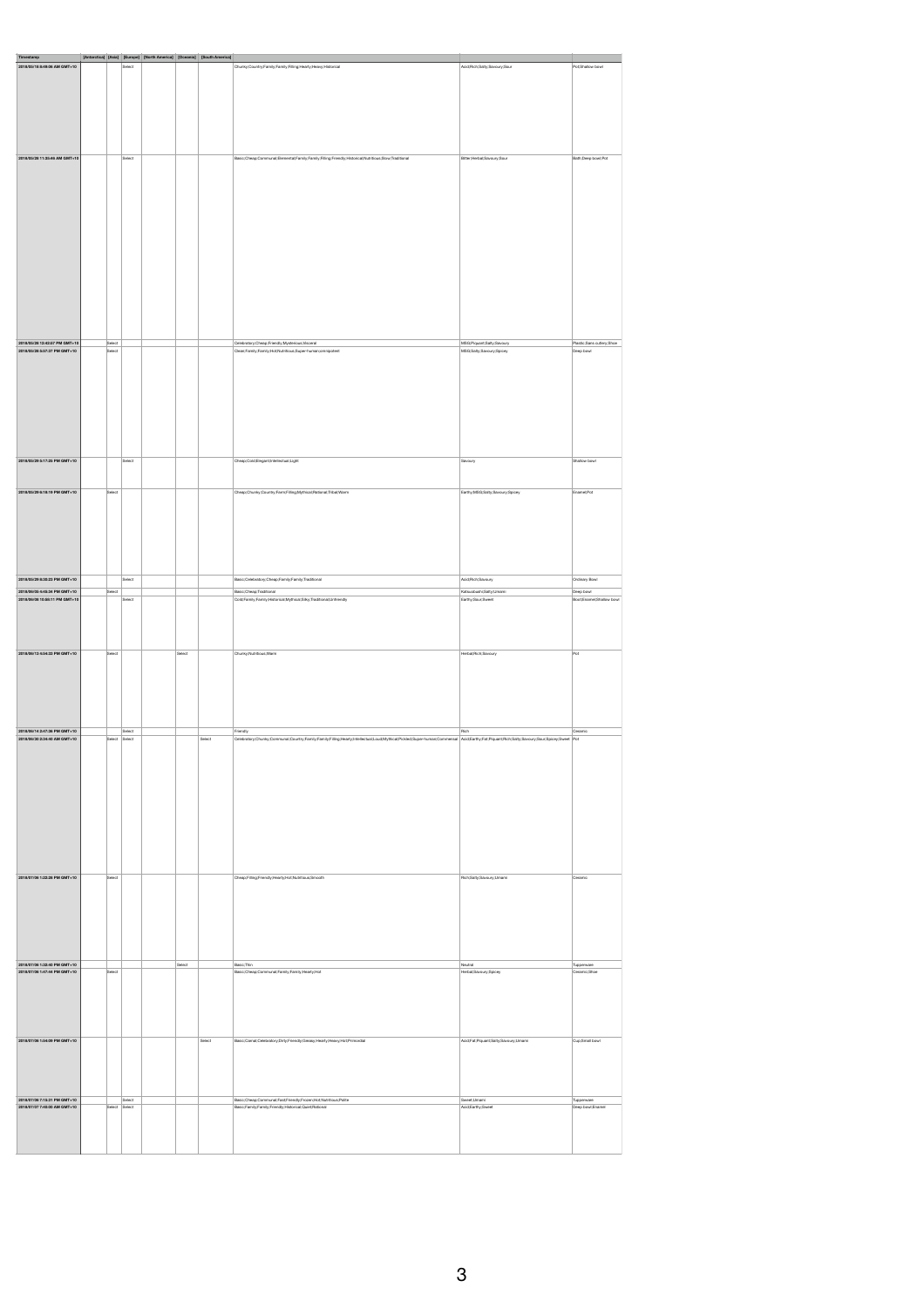| Timestamp<br>2018/05/18 8:49:06 AM GMT+10                    | [Antarctica] [Asia] [Europe] [North America] [Oceania] [South America] |               | Select |        |
|--------------------------------------------------------------|------------------------------------------------------------------------|---------------|--------|--------|
|                                                              |                                                                        |               |        |        |
|                                                              |                                                                        |               |        |        |
|                                                              |                                                                        |               |        |        |
|                                                              |                                                                        |               |        |        |
|                                                              |                                                                        |               |        |        |
|                                                              |                                                                        |               |        |        |
|                                                              |                                                                        |               |        |        |
|                                                              |                                                                        |               |        |        |
|                                                              |                                                                        |               |        |        |
|                                                              |                                                                        |               |        |        |
|                                                              |                                                                        |               |        |        |
|                                                              |                                                                        |               |        |        |
| 2018/05/28 11:35:46 AM GMT+10                                |                                                                        |               | Select |        |
|                                                              |                                                                        |               |        |        |
|                                                              |                                                                        |               |        |        |
|                                                              |                                                                        |               |        |        |
|                                                              |                                                                        |               |        |        |
|                                                              |                                                                        |               |        |        |
|                                                              |                                                                        |               |        |        |
|                                                              |                                                                        |               |        |        |
|                                                              |                                                                        |               |        |        |
|                                                              |                                                                        |               |        |        |
|                                                              |                                                                        |               |        |        |
|                                                              |                                                                        |               |        |        |
|                                                              |                                                                        |               |        |        |
|                                                              |                                                                        |               |        |        |
|                                                              |                                                                        |               |        |        |
|                                                              |                                                                        |               |        |        |
|                                                              |                                                                        |               |        |        |
|                                                              |                                                                        |               |        |        |
|                                                              |                                                                        |               |        |        |
|                                                              |                                                                        |               |        |        |
|                                                              |                                                                        |               |        |        |
|                                                              |                                                                        |               |        |        |
|                                                              |                                                                        |               |        |        |
|                                                              |                                                                        |               |        |        |
| 2018/05/28 12:42:57 PM GMT+10                                |                                                                        | Select        |        |        |
| 2018/05/28 5:57:37 PM GMT+10                                 |                                                                        | Select        |        |        |
|                                                              |                                                                        |               |        |        |
|                                                              |                                                                        |               |        |        |
|                                                              |                                                                        |               |        |        |
|                                                              |                                                                        |               |        |        |
|                                                              |                                                                        |               |        |        |
|                                                              |                                                                        |               |        |        |
|                                                              |                                                                        |               |        |        |
|                                                              |                                                                        |               |        |        |
|                                                              |                                                                        |               |        |        |
|                                                              |                                                                        |               |        |        |
|                                                              |                                                                        |               |        |        |
|                                                              |                                                                        |               |        |        |
|                                                              |                                                                        |               |        |        |
| 2018/05/29 5:17:25 PM GMT+10                                 |                                                                        |               | Select |        |
|                                                              |                                                                        |               |        |        |
|                                                              |                                                                        |               |        |        |
|                                                              |                                                                        |               |        |        |
| 2018/05/29 6:18:19 PM GMT+10                                 |                                                                        | Select        |        |        |
|                                                              |                                                                        |               |        |        |
|                                                              |                                                                        |               |        |        |
|                                                              |                                                                        |               |        |        |
|                                                              |                                                                        |               |        |        |
|                                                              |                                                                        |               |        |        |
|                                                              |                                                                        |               |        |        |
|                                                              |                                                                        |               |        |        |
|                                                              |                                                                        |               |        |        |
|                                                              |                                                                        |               |        |        |
|                                                              |                                                                        |               |        |        |
|                                                              |                                                                        |               |        |        |
| 2018/05/29 8:30:23 PM GMT+10                                 |                                                                        |               | Select |        |
| 2018/06/05 4:45:34 PM GMT+10                                 |                                                                        | Select        |        |        |
| 2018/06/08 10:58:11 PM GMT+10                                |                                                                        |               | Select |        |
|                                                              |                                                                        |               |        |        |
|                                                              |                                                                        |               |        |        |
|                                                              |                                                                        |               |        |        |
|                                                              |                                                                        |               |        |        |
|                                                              |                                                                        |               |        |        |
|                                                              |                                                                        |               |        |        |
| 2018/06/13 4:54:33 PM GMT+10                                 |                                                                        | Select        |        | Select |
|                                                              |                                                                        |               |        |        |
|                                                              |                                                                        |               |        |        |
|                                                              |                                                                        |               |        |        |
|                                                              |                                                                        |               |        |        |
|                                                              |                                                                        |               |        |        |
|                                                              |                                                                        |               |        |        |
|                                                              |                                                                        |               |        |        |
|                                                              |                                                                        |               |        |        |
|                                                              |                                                                        |               |        |        |
|                                                              |                                                                        |               |        |        |
|                                                              |                                                                        |               |        |        |
| 2018/06/14 2:47:36 PM GMT+10                                 |                                                                        |               | Select |        |
| 2018/06/30 2:34:40 AM GMT+10                                 |                                                                        | Select Select |        |        |
|                                                              |                                                                        |               |        |        |
|                                                              |                                                                        |               |        |        |
|                                                              |                                                                        |               |        |        |
|                                                              |                                                                        |               |        |        |
|                                                              |                                                                        |               |        |        |
|                                                              |                                                                        |               |        |        |
|                                                              |                                                                        |               |        |        |
|                                                              |                                                                        |               |        |        |
|                                                              |                                                                        |               |        |        |
|                                                              |                                                                        |               |        |        |
|                                                              |                                                                        |               |        |        |
|                                                              |                                                                        |               |        |        |
|                                                              |                                                                        |               |        |        |
|                                                              |                                                                        |               |        |        |
|                                                              |                                                                        |               |        |        |
|                                                              |                                                                        |               |        |        |
| 2018/07/06 1:22:28 PM GMT+10                                 |                                                                        | Select        |        |        |
|                                                              |                                                                        |               |        |        |
|                                                              |                                                                        |               |        |        |
|                                                              |                                                                        |               |        |        |
|                                                              |                                                                        |               |        |        |
|                                                              |                                                                        |               |        |        |
|                                                              |                                                                        |               |        |        |
|                                                              |                                                                        |               |        |        |
|                                                              |                                                                        |               |        |        |
|                                                              |                                                                        |               |        |        |
|                                                              |                                                                        |               |        |        |
| 2018/07/06 1:32:40 PM GMT+10                                 |                                                                        |               |        |        |
| 2018/07/06 1:47:44 PM GMT+10                                 |                                                                        | Select        |        |        |
|                                                              |                                                                        |               |        |        |
|                                                              |                                                                        |               |        |        |
|                                                              |                                                                        |               |        |        |
|                                                              |                                                                        |               |        |        |
|                                                              |                                                                        |               |        |        |
|                                                              |                                                                        |               |        |        |
|                                                              |                                                                        |               |        |        |
|                                                              |                                                                        |               |        |        |
| 2018/07/06 1:54:09 PM GMT+10                                 |                                                                        |               |        |        |
|                                                              |                                                                        |               |        |        |
|                                                              |                                                                        |               |        |        |
|                                                              |                                                                        |               |        |        |
|                                                              |                                                                        |               |        |        |
|                                                              |                                                                        |               |        |        |
|                                                              |                                                                        |               |        |        |
|                                                              |                                                                        |               |        |        |
| 2018/07/06 7:15:31 PM GMT+10<br>2018/07/07 7:40:00 AM GMT+10 |                                                                        | Select Select | Select |        |
|                                                              |                                                                        |               |        |        |
|                                                              |                                                                        |               |        |        |
|                                                              |                                                                        |               |        |        |
|                                                              |                                                                        |               |        |        |
|                                                              |                                                                        |               |        |        |